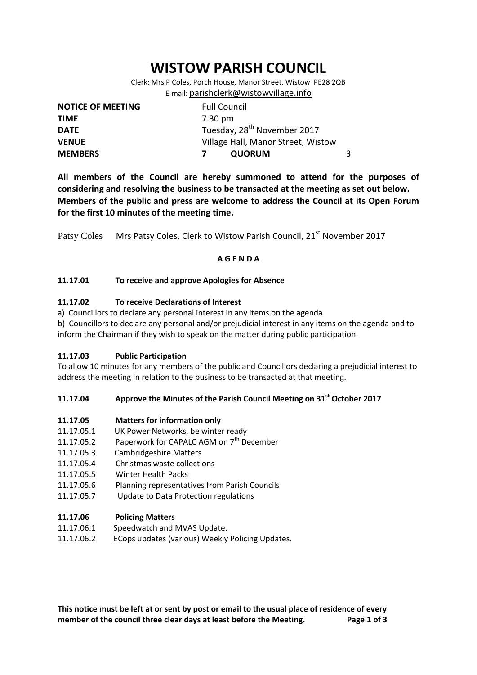# **WISTOW PARISH COUNCIL**

Clerk: Mrs P Coles, Porch House, Manor Street, Wistow PE28 2QB E-mail: [parishclerk@wistowvillage.info](mailto:parishclerk@wistowvillage.info)

| <b>NOTICE OF MEETING</b> | <b>Full Council</b>                     |   |
|--------------------------|-----------------------------------------|---|
| <b>TIME</b>              | 7.30 pm                                 |   |
| <b>DATE</b>              | Tuesday, 28 <sup>th</sup> November 2017 |   |
| <b>VENUE</b>             | Village Hall, Manor Street, Wistow      |   |
| <b>MEMBERS</b>           | <b>QUORUM</b>                           | 3 |

**All members of the Council are hereby summoned to attend for the purposes of considering and resolving the business to be transacted at the meeting as set out below. Members of the public and press are welcome to address the Council at its Open Forum for the first 10 minutes of the meeting time.**

Patsy Coles Mrs Patsy Coles, Clerk to Wistow Parish Council, 21<sup>st</sup> November 2017

## **A G E N D A**

## **11.17.01 To receive and approve Apologies for Absence**

## **11.17.02 To receive Declarations of Interest**

a) Councillors to declare any personal interest in any items on the agenda

b) Councillors to declare any personal and/or prejudicial interest in any items on the agenda and to inform the Chairman if they wish to speak on the matter during public participation.

#### **11.17.03 Public Participation**

To allow 10 minutes for any members of the public and Councillors declaring a prejudicial interest to address the meeting in relation to the business to be transacted at that meeting.

#### **11.17.04 Approve the Minutes of the Parish Council Meeting on 31st October 2017**

#### **11.17.05 Matters for information only**

- 11.17.05.1 UK Power Networks, be winter ready
- 11.17.05.2 Paperwork for CAPALC AGM on  $7<sup>th</sup>$  December
- 11.17.05.3 Cambridgeshire Matters
- 11.17.05.4 Christmas waste collections
- 11.17.05.5 Winter Health Packs
- 11.17.05.6 Planning representatives from Parish Councils
- 11.17.05.7 Update to Data Protection regulations

#### **11.17.06 Policing Matters**

- 11.17.06.1 Speedwatch and MVAS Update.
- 11.17.06.2 ECops updates (various) Weekly Policing Updates.

**This notice must be left at or sent by post or email to the usual place of residence of every member of the council three clear days at least before the Meeting. Page 1 of 3**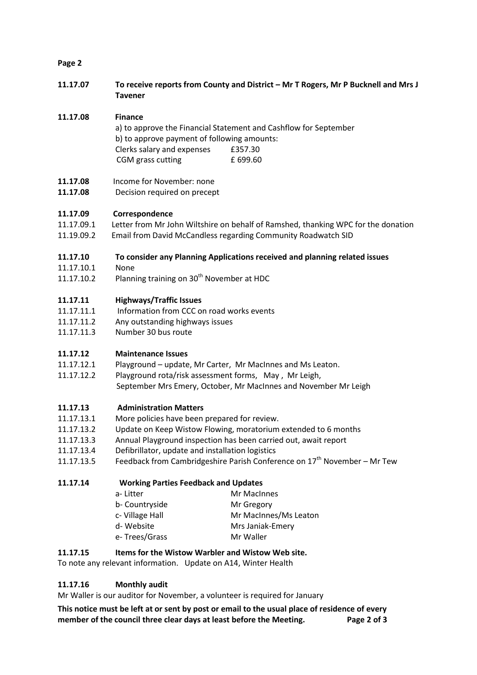## **Page 2**

**11.17.07 To receive reports from County and District – Mr T Rogers, Mr P Bucknell and Mrs J Tavener**

## **11.17.08 Finance**

- a) to approve the Financial Statement and Cashflow for September b) to approve payment of following amounts: Clerks salary and expenses £357.30 CGM grass cutting E 699.60
- **11.17.08** Income for November: none
- 11.17.08 Decision required on precept

## **11.17.09 Correspondence**

- 11.17.09.1 Letter from Mr John Wiltshire on behalf of Ramshed, thanking WPC for the donation
- 11.19.09.2 Email from David McCandless regarding Community Roadwatch SID

## **11.17.10 To consider any Planning Applications received and planning related issues**

- 11.17.10.1 None
- 11.17.10.2 Planning training on  $30<sup>th</sup>$  November at HDC

# **11.17.11 Highways/Traffic Issues**

- 11.17.11.1 Information from CCC on road works events
- 11.17.11.2 Any outstanding highways issues
- 11.17.11.3 Number 30 bus route

# **11.17.12 Maintenance Issues**

- 11.17.12.1 Playground update, Mr Carter, Mr MacInnes and Ms Leaton.
- 11.17.12.2 Playground rota/risk assessment forms, May , Mr Leigh,
	- September Mrs Emery, October, Mr MacInnes and November Mr Leigh

#### **11.17.13 Administration Matters**

- 11.17.13.1 More policies have been prepared for review.
- 11.17.13.2 Update on Keep Wistow Flowing, moratorium extended to 6 months
- 11.17.13.3 Annual Playground inspection has been carried out, await report
- 11.17.13.4 Defibrillator, update and installation logistics
- 11.17.13.5 Feedback from Cambridgeshire Parish Conference on  $17<sup>th</sup>$  November Mr Tew

**11.17.14 Working Parties Feedback and Updates**

|  | a-Litter       | Mr MacInnes           |
|--|----------------|-----------------------|
|  | b- Countryside | Mr Gregory            |
|  | c-Village Hall | Mr MacInnes/Ms Leaton |
|  | d-Website      | Mrs Janiak-Emery      |
|  | e-Trees/Grass  | Mr Waller             |
|  |                |                       |

#### **11.17.15 Items for the Wistow Warbler and Wistow Web site.**

To note any relevant information. Update on A14, Winter Health

# **11.17.16 Monthly audit**

Mr Waller is our auditor for November, a volunteer is required for January

**This notice must be left at or sent by post or email to the usual place of residence of every member of the council three clear days at least before the Meeting. Page 2 of 3**